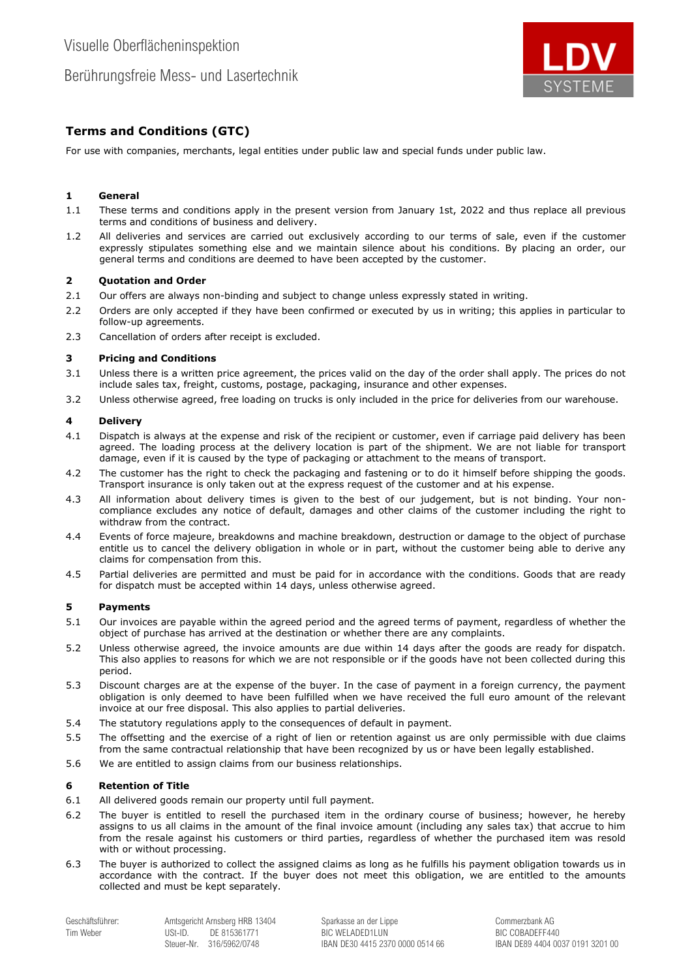

# **Terms and Conditions (GTC)**

For use with companies, merchants, legal entities under public law and special funds under public law.

# **1 General**

- 1.1 These terms and conditions apply in the present version from January 1st, 2022 and thus replace all previous terms and conditions of business and delivery.
- 1.2 All deliveries and services are carried out exclusively according to our terms of sale, even if the customer expressly stipulates something else and we maintain silence about his conditions. By placing an order, our general terms and conditions are deemed to have been accepted by the customer.

## **2 Quotation and Order**

- 2.1 Our offers are always non-binding and subject to change unless expressly stated in writing.
- 2.2 Orders are only accepted if they have been confirmed or executed by us in writing; this applies in particular to follow-up agreements.
- 2.3 Cancellation of orders after receipt is excluded.

# **3 Pricing and Conditions**

- 3.1 Unless there is a written price agreement, the prices valid on the day of the order shall apply. The prices do not include sales tax, freight, customs, postage, packaging, insurance and other expenses.
- 3.2 Unless otherwise agreed, free loading on trucks is only included in the price for deliveries from our warehouse.

# **4 Delivery**

- 4.1 Dispatch is always at the expense and risk of the recipient or customer, even if carriage paid delivery has been agreed. The loading process at the delivery location is part of the shipment. We are not liable for transport damage, even if it is caused by the type of packaging or attachment to the means of transport.
- 4.2 The customer has the right to check the packaging and fastening or to do it himself before shipping the goods. Transport insurance is only taken out at the express request of the customer and at his expense.
- 4.3 All information about delivery times is given to the best of our judgement, but is not binding. Your noncompliance excludes any notice of default, damages and other claims of the customer including the right to withdraw from the contract.
- 4.4 Events of force majeure, breakdowns and machine breakdown, destruction or damage to the object of purchase entitle us to cancel the delivery obligation in whole or in part, without the customer being able to derive any claims for compensation from this.
- 4.5 Partial deliveries are permitted and must be paid for in accordance with the conditions. Goods that are ready for dispatch must be accepted within 14 days, unless otherwise agreed.

## **5 Payments**

- 5.1 Our invoices are payable within the agreed period and the agreed terms of payment, regardless of whether the object of purchase has arrived at the destination or whether there are any complaints.
- 5.2 Unless otherwise agreed, the invoice amounts are due within 14 days after the goods are ready for dispatch. This also applies to reasons for which we are not responsible or if the goods have not been collected during this period.
- 5.3 Discount charges are at the expense of the buyer. In the case of payment in a foreign currency, the payment obligation is only deemed to have been fulfilled when we have received the full euro amount of the relevant invoice at our free disposal. This also applies to partial deliveries.
- 5.4 The statutory regulations apply to the consequences of default in payment.
- 5.5 The offsetting and the exercise of a right of lien or retention against us are only permissible with due claims from the same contractual relationship that have been recognized by us or have been legally established.
- 5.6 We are entitled to assign claims from our business relationships.

## **6 Retention of Title**

- 6.1 All delivered goods remain our property until full payment.
- 6.2 The buyer is entitled to resell the purchased item in the ordinary course of business; however, he hereby assigns to us all claims in the amount of the final invoice amount (including any sales tax) that accrue to him from the resale against his customers or third parties, regardless of whether the purchased item was resold with or without processing.
- 6.3 The buyer is authorized to collect the assigned claims as long as he fulfills his payment obligation towards us in accordance with the contract. If the buyer does not meet this obligation, we are entitled to the amounts collected and must be kept separately.

Geschäftsführer: Tim Weber

Amtsgericht Arnsberg HRB 13404 USt-ID. DE 815361771 Steuer-Nr. 316/5962/0748

Sparkasse an der Lippe BIC WELADED1LUN IBAN DE30 4415 2370 0000 0514 66 Commerzbank AG BIC COBADEFF440 IBAN DE89 4404 0037 0191 3201 00